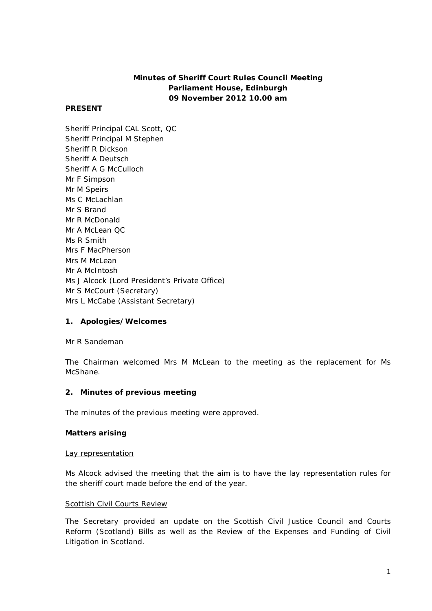# **Minutes of Sheriff Court Rules Council Meeting Parliament House, Edinburgh 09 November 2012 10.00 am**

### **PRESENT**

Sheriff Principal CAL Scott, QC Sheriff Principal M Stephen Sheriff R Dickson Sheriff A Deutsch Sheriff A G McCulloch Mr F Simpson Mr M Speirs Ms C McLachlan Mr S Brand Mr R McDonald Mr A McLean QC Ms R Smith Mrs F MacPherson Mrs M McLean Mr A McIntosh Ms J Alcock (Lord President's Private Office) Mr S McCourt (Secretary) Mrs L McCabe (Assistant Secretary)

## **1. Apologies/Welcomes**

Mr R Sandeman

The Chairman welcomed Mrs M McLean to the meeting as the replacement for Ms McShane.

#### **2. Minutes of previous meeting**

The minutes of the previous meeting were approved.

#### **Matters arising**

#### Lay representation

Ms Alcock advised the meeting that the aim is to have the lay representation rules for the sheriff court made before the end of the year.

#### Scottish Civil Courts Review

The Secretary provided an update on the Scottish Civil Justice Council and Courts Reform (Scotland) Bills as well as the Review of the Expenses and Funding of Civil Litigation in Scotland.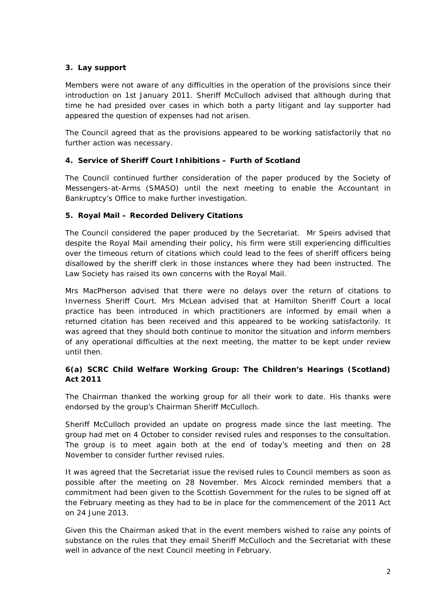# **3. Lay support**

Members were not aware of any difficulties in the operation of the provisions since their introduction on 1st January 2011. Sheriff McCulloch advised that although during that time he had presided over cases in which both a party litigant and lay supporter had appeared the question of expenses had not arisen.

The Council agreed that as the provisions appeared to be working satisfactorily that no further action was necessary.

## **4. Service of Sheriff Court Inhibitions – Furth of Scotland**

The Council continued further consideration of the paper produced by the Society of Messengers-at-Arms (SMASO) until the next meeting to enable the Accountant in Bankruptcy's Office to make further investigation.

## **5. Royal Mail – Recorded Delivery Citations**

The Council considered the paper produced by the Secretariat. Mr Speirs advised that despite the Royal Mail amending their policy, his firm were still experiencing difficulties over the timeous return of citations which could lead to the fees of sheriff officers being disallowed by the sheriff clerk in those instances where they had been instructed. The Law Society has raised its own concerns with the Royal Mail.

Mrs MacPherson advised that there were no delays over the return of citations to Inverness Sheriff Court. Mrs McLean advised that at Hamilton Sheriff Court a local practice has been introduced in which practitioners are informed by email when a returned citation has been received and this appeared to be working satisfactorily. It was agreed that they should both continue to monitor the situation and inform members of any operational difficulties at the next meeting, the matter to be kept under review until then.

## **6(a) SCRC Child Welfare Working Group: The Children's Hearings (Scotland) Act 2011**

The Chairman thanked the working group for all their work to date. His thanks were endorsed by the group's Chairman Sheriff McCulloch.

Sheriff McCulloch provided an update on progress made since the last meeting. The group had met on 4 October to consider revised rules and responses to the consultation. The group is to meet again both at the end of today's meeting and then on 28 November to consider further revised rules.

It was agreed that the Secretariat issue the revised rules to Council members as soon as possible after the meeting on 28 November. Mrs Alcock reminded members that a commitment had been given to the Scottish Government for the rules to be signed off at the February meeting as they had to be in place for the commencement of the 2011 Act on 24 June 2013.

Given this the Chairman asked that in the event members wished to raise any points of substance on the rules that they email Sheriff McCulloch and the Secretariat with these well in advance of the next Council meeting in February.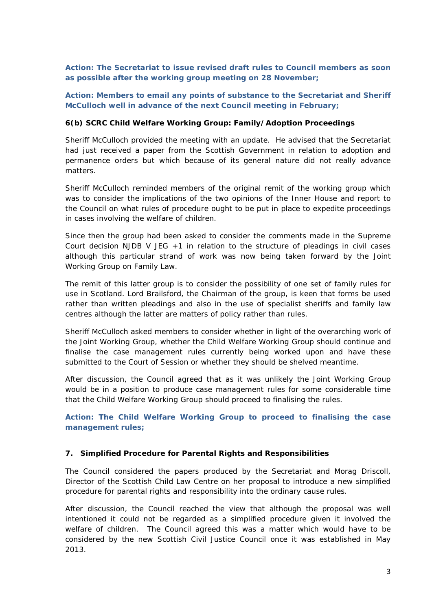**Action: The Secretariat to issue revised draft rules to Council members as soon as possible after the working group meeting on 28 November;** 

**Action: Members to email any points of substance to the Secretariat and Sheriff McCulloch well in advance of the next Council meeting in February;**

#### **6(b) SCRC Child Welfare Working Group: Family/Adoption Proceedings**

Sheriff McCulloch provided the meeting with an update. He advised that the Secretariat had just received a paper from the Scottish Government in relation to adoption and permanence orders but which because of its general nature did not really advance matters.

Sheriff McCulloch reminded members of the original remit of the working group which was to consider the implications of the two opinions of the Inner House and report to the Council on what rules of procedure ought to be put in place to expedite proceedings in cases involving the welfare of children.

Since then the group had been asked to consider the comments made in the Supreme Court decision *NJDB V JEG +1* in relation to the structure of pleadings in civil cases although this particular strand of work was now being taken forward by the Joint Working Group on Family Law.

The remit of this latter group is to consider the possibility of one set of family rules for use in Scotland. Lord Brailsford, the Chairman of the group, is keen that forms be used rather than written pleadings and also in the use of specialist sheriffs and family law centres although the latter are matters of policy rather than rules.

Sheriff McCulloch asked members to consider whether in light of the overarching work of the Joint Working Group, whether the Child Welfare Working Group should continue and finalise the case management rules currently being worked upon and have these submitted to the Court of Session or whether they should be shelved meantime.

After discussion, the Council agreed that as it was unlikely the Joint Working Group would be in a position to produce case management rules for some considerable time that the Child Welfare Working Group should proceed to finalising the rules.

**Action: The Child Welfare Working Group to proceed to finalising the case management rules;**

#### **7. Simplified Procedure for Parental Rights and Responsibilities**

The Council considered the papers produced by the Secretariat and Morag Driscoll, Director of the Scottish Child Law Centre on her proposal to introduce a new simplified procedure for parental rights and responsibility into the ordinary cause rules.

After discussion, the Council reached the view that although the proposal was well intentioned it could not be regarded as a simplified procedure given it involved the welfare of children. The Council agreed this was a matter which would have to be considered by the new Scottish Civil Justice Council once it was established in May 2013.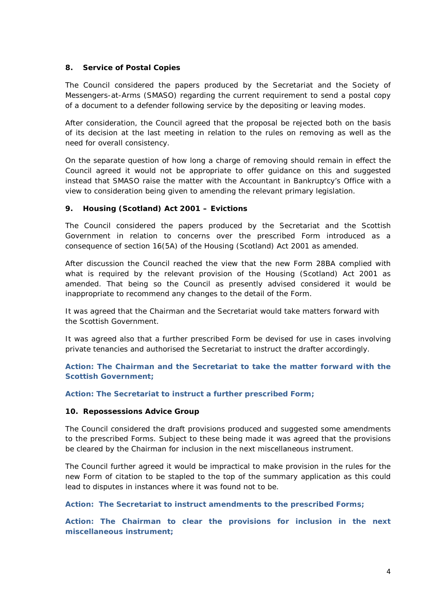#### **8. Service of Postal Copies**

The Council considered the papers produced by the Secretariat and the Society of Messengers-at-Arms (SMASO) regarding the current requirement to send a postal copy of a document to a defender following service by the depositing or leaving modes.

After consideration, the Council agreed that the proposal be rejected both on the basis of its decision at the last meeting in relation to the rules on removing as well as the need for overall consistency.

On the separate question of how long a charge of removing should remain in effect the Council agreed it would not be appropriate to offer guidance on this and suggested instead that SMASO raise the matter with the Accountant in Bankruptcy's Office with a view to consideration being given to amending the relevant primary legislation.

## **9. Housing (Scotland) Act 2001 – Evictions**

The Council considered the papers produced by the Secretariat and the Scottish Government in relation to concerns over the prescribed Form introduced as a consequence of section 16(5A) of the Housing (Scotland) Act 2001 as amended.

After discussion the Council reached the view that the new Form 28BA complied with what is required by the relevant provision of the Housing (Scotland) Act 2001 as amended. That being so the Council as presently advised considered it would be inappropriate to recommend any changes to the detail of the Form.

It was agreed that the Chairman and the Secretariat would take matters forward with the Scottish Government.

It was agreed also that a further prescribed Form be devised for use in cases involving private tenancies and authorised the Secretariat to instruct the drafter accordingly.

**Action: The Chairman and the Secretariat to take the matter forward with the Scottish Government;**

**Action: The Secretariat to instruct a further prescribed Form;**

#### **10. Repossessions Advice Group**

The Council considered the draft provisions produced and suggested some amendments to the prescribed Forms. Subject to these being made it was agreed that the provisions be cleared by the Chairman for inclusion in the next miscellaneous instrument.

The Council further agreed it would be impractical to make provision in the rules for the new Form of citation to be stapled to the top of the summary application as this could lead to disputes in instances where it was found not to be.

#### **Action: The Secretariat to instruct amendments to the prescribed Forms;**

**Action: The Chairman to clear the provisions for inclusion in the next miscellaneous instrument;**